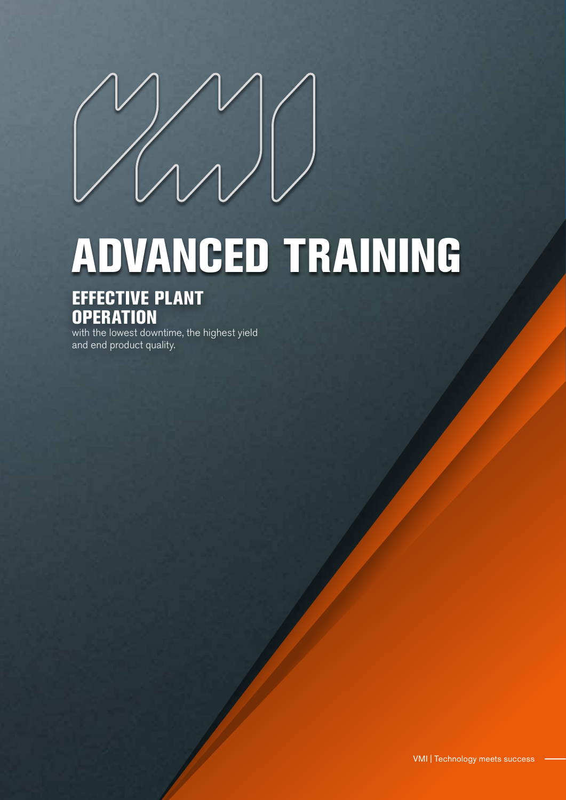## ADVANCED TRAINING

### EFFECTIVE PLANT **OPERATION**

with the lowest downtime, the highest yield and end product quality.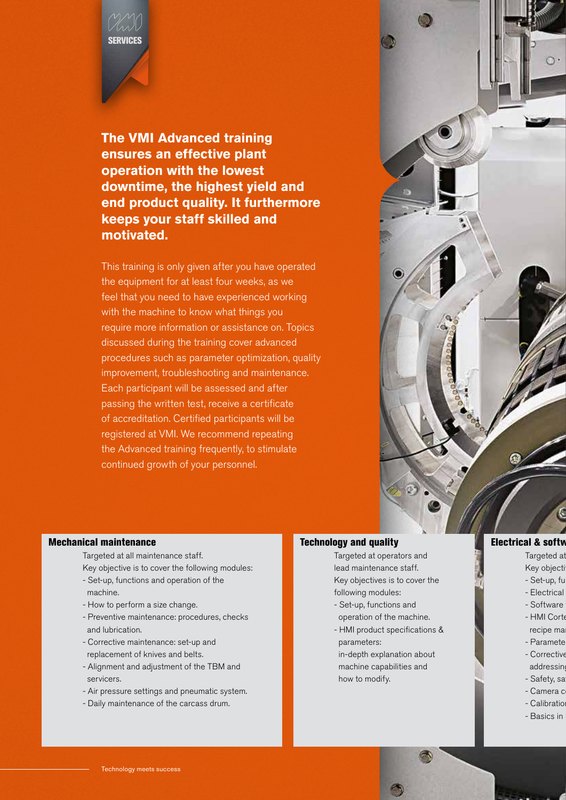# SERVICES

**The VMI Advanced training ensures an effective plant operation with the lowest downtime, the highest yield and end product quality. It furthermore keeps your staff skilled and motivated.**

This training is only given after you have operated the equipment for at least four weeks, as we feel that you need to have experienced working with the machine to know what things you require more information or assistance on. Topics discussed during the training cover advanced procedures such as parameter optimization, quality improvement, troubleshooting and maintenance. Each participant will be assessed and after passing the written test, receive a certificate of accreditation. Certified participants will be registered at VMI. We recommend repeating the Advanced training frequently, to stimulate continued growth of your personnel.



#### Mechanical maintenance

Targeted at all maintenance staff.

- Key objective is to cover the following modules:
- Set-up, functions and operation of the machine.
- How to perform a size change.
- Preventive maintenance: procedures, checks and lubrication.
- Corrective maintenance: set-up and replacement of knives and belts.
- Alignment and adjustment of the TBM and servicers.
- Air pressure settings and pneumatic system.
- Daily maintenance of the carcass drum.

#### Technology and quality

Targeted at operators and lead maintenance staff. Key objectives is to cover the following modules:

- Set-up, functions and operation of the machine.
- HMI product specifications & parameters:

 in-depth explanation about machine capabilities and how to modify.

#### **Electrical & software**

Targeted at Key objecti

- Set-up, fu
- Electrical
- Software
- HMI Corte recipe ma
	- Paramete
- Corrective
	- addressin - Safety, sa
- Camera c
- Calibratio
- Basics in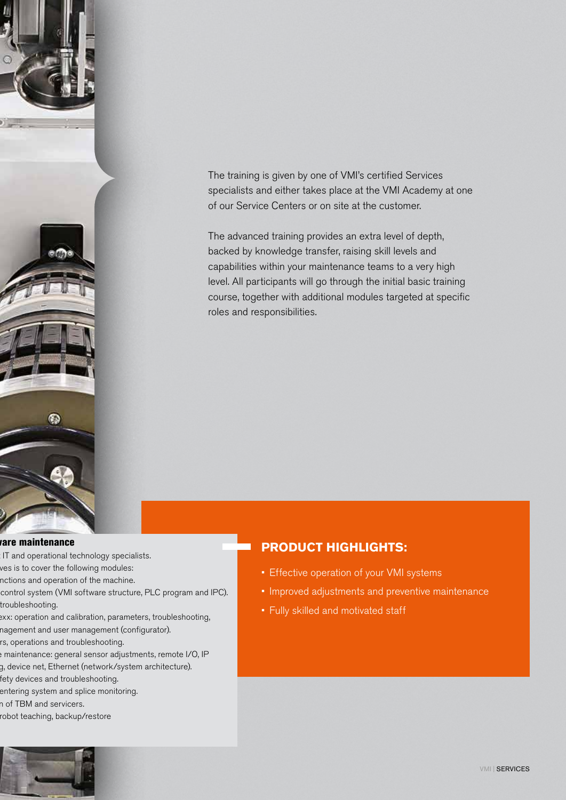

The training is given by one of VMI's certified Services specialists and either takes place at the VMI Academy at one of our Service Centers or on site at the customer.

The advanced training provides an extra level of depth, backed by knowledge transfer, raising skill levels and capabilities within your maintenance teams to a very high level. All participants will go through the initial basic training course, together with additional modules targeted at specific roles and responsibilities.

#### rare maintenance

- IT and operational technology specialists.
- ves is to cover the following modules:
- nctions and operation of the machine.
- control system (VMI software structure, PLC program and IPC). troubleshooting.
- exx: operation and calibration, parameters, troubleshooting, nagement and user management (configurator).
- rs, operations and troubleshooting.
- emaintenance: general sensor adjustments, remote I/O, IP g, device net, Ethernet (network/system architecture).
- fety devices and troubleshooting.
- entering system and splice monitoring.
- n of TBM and servicers.
- robot teaching, backup/restore

#### **PRODUCT HIGHLIGHTS:**

- Effective operation of your VMI systems
- Improved adjustments and preventive maintenance
- Fully skilled and motivated staff